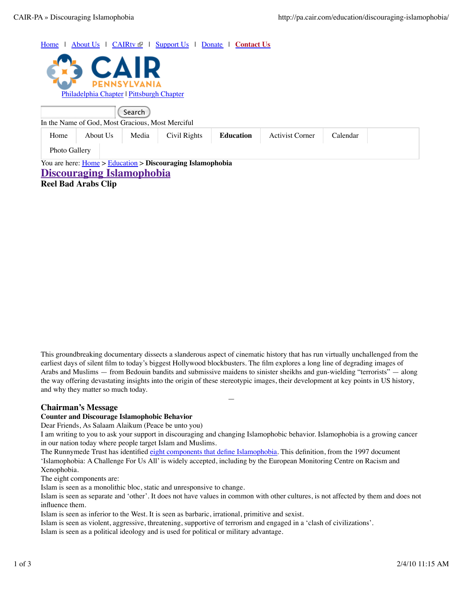Home | About Us | CAIRtv | Support Us | Donate | Contact Us Philadelphia Chapter | Pittsburgh Chapter Search In the Name of God, Most Gracious, Most Merciful You are here: Home > Education > **Discouraging Islamophobia Discouraging Islamophobia** Home About Us Media Civil Rights **Education** Activist Corner Calendar Photo Gallery

**Reel Bad Arabs Clip**

This groundbreaking documentary dissects a slanderous aspect of cinematic history that has run virtually unchallenged from the earliest days of silent film to today's biggest Hollywood blockbusters. The film explores a long line of degrading images of Arabs and Muslims — from Bedouin bandits and submissive maidens to sinister sheikhs and gun-wielding "terrorists" — along the way offering devastating insights into the origin of these stereotypic images, their development at key points in US history, and why they matter so much today.

—

# **Chairman's Message**

#### **Counter and Discourage Islamophobic Behavior**

Dear Friends, As Salaam Alaikum (Peace be unto you)

I am writing to you to ask your support in discouraging and changing Islamophobic behavior. Islamophobia is a growing cancer in our nation today where people target Islam and Muslims.

The Runnymede Trust has identified eight components that define Islamophobia. This definition, from the 1997 document 'Islamophobia: A Challenge For Us All' is widely accepted, including by the European Monitoring Centre on Racism and Xenophobia.

The eight components are:

1. Islam is seen as a monolithic bloc, static and unresponsive to change.

Islam is seen as separate and 'other'. It does not have values in common with other cultures, is not affected by them and does not influence them.

Islam is seen as inferior to the West. It is seen as barbaric, irrational, primitive and sexist.

4. Islam is seen as violent, aggressive, threatening, supportive of terrorism and engaged in a 'clash of civilizations'.

5. Islam is seen as a political ideology and is used for political or military advantage.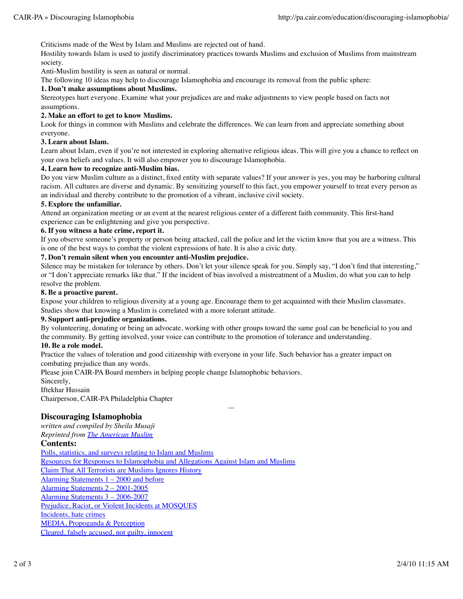Criticisms made of the West by Islam and Muslims are rejected out of hand.

Hostility towards Islam is used to justify discriminatory practices towards Muslims and exclusion of Muslims from mainstream society.

Anti-Muslim hostility is seen as natural or normal.

The following 10 ideas may help to discourage Islamophobia and encourage its removal from the public sphere:

## **1. Don't make assumptions about Muslims.**

Stereotypes hurt everyone. Examine what your prejudices are and make adjustments to view people based on facts not assumptions.

### **2. Make an effort to get to know Muslims.**

Look for things in common with Muslims and celebrate the differences. We can learn from and appreciate something about everyone.

### **3. Learn about Islam.**

Learn about Islam, even if you're not interested in exploring alternative religious ideas. This will give you a chance to reflect on your own beliefs and values. It will also empower you to discourage Islamophobia.

### **4. Learn how to recognize anti-Muslim bias.**

Do you view Muslim culture as a distinct, fixed entity with separate values? If your answer is yes, you may be harboring cultural racism. All cultures are diverse and dynamic. By sensitizing yourself to this fact, you empower yourself to treat every person as an individual and thereby contribute to the promotion of a vibrant, inclusive civil society.

### **5. Explore the unfamiliar.**

Attend an organization meeting or an event at the nearest religious center of a different faith community. This first-hand experience can be enlightening and give you perspective.

### **6. If you witness a hate crime, report it.**

If you observe someone's property or person being attacked, call the police and let the victim know that you are a witness. This is one of the best ways to combat the violent expressions of hate. It is also a civic duty.

## **7. Don't remain silent when you encounter anti-Muslim prejudice.**

Silence may be mistaken for tolerance by others. Don't let your silence speak for you. Simply say, "I don't find that interesting," or "I don't appreciate remarks like that." If the incident of bias involved a mistreatment of a Muslim, do what you can to help resolve the problem.

### **8. Be a proactive parent.**

Expose your children to religious diversity at a young age. Encourage them to get acquainted with their Muslim classmates. Studies show that knowing a Muslim is correlated with a more tolerant attitude.

## **9. Support anti-prejudice organizations.**

By volunteering, donating or being an advocate, working with other groups toward the same goal can be beneficial to you and the community. By getting involved, your voice can contribute to the promotion of tolerance and understanding.

—

#### **10. Be a role model.**

Practice the values of toleration and good citizenship with everyone in your life. Such behavior has a greater impact on combating prejudice than any words.

Please join CAIR-PA Board members in helping people change Islamophobic behaviors.

Sincerely,

Iftekhar Hussain

Chairperson, CAIR-PA Philadelphia Chapter

# **Discouraging Islamophobia**

*written and compiled by Sheila Musaji*

*Reprinted from The American Muslim*

## **Contents:**

Polls, statistics, and surveys relating to Islam and Muslims Resources for Responses to Islamophobia and Allegations Against Islam and Muslims Claim That All Terrorists are Muslims Ignores History Alarming Statements 1 – 2000 and before Alarming Statements 2 – 2001-2005 Alarming Statements 3 – 2006-2007 Prejudice, Racist, or Violent Incidents at MOSQUES Incidents, hate crimes MEDIA, Propoganda & Perception Cleared, falsely accused, not guilty, innocent